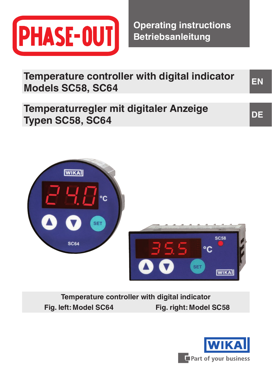

**Operating instructions Betriebsanleitung**

**EN DE Temperature controller with digital indicator Models SC58, SC64 Temperaturregler mit digitaler Anzeige Typen SC58, SC64**



**Temperature controller with digital indicator Fig. left: Model SC64 Fig. right: Model SC58**

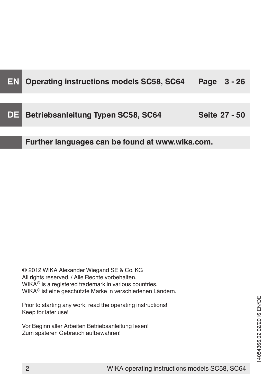| EN  | Operating instructions models SC58, SC64        | Page<br>$3 - 26$ |
|-----|-------------------------------------------------|------------------|
| DE. | Betriebsanleitung Typen SC58, SC64              | Seite 27 - 50    |
|     | Further languages can be found at www.wika.com. |                  |

© 2012 WIKA Alexander Wiegand SE & Co. KG All rights reserved. / Alle Rechte vorbehalten. WIKA® is a registered trademark in various countries. WIKA® ist eine geschützte Marke in verschiedenen Ländern.

Prior to starting any work, read the operating instructions! Keep for later use!

Vor Beginn aller Arbeiten Betriebsanleitung lesen! Zum späteren Gebrauch aufbewahren!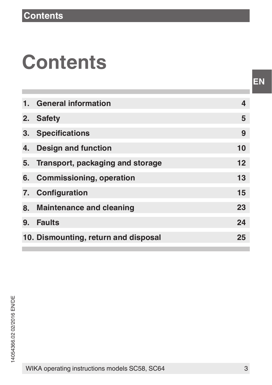## **Contents**

| 1. General information               | 4  |
|--------------------------------------|----|
| 2. Safety                            | 5  |
| 3. Specifications                    | 9  |
| 4. Design and function               | 10 |
| 5. Transport, packaging and storage  | 12 |
| 6. Commissioning, operation          | 13 |
| 7. Configuration                     | 15 |
| 8. Maintenance and cleaning          | 23 |
| 9. Faults                            | 24 |
| 10. Dismounting, return and disposal | 25 |
|                                      |    |

WIKA operating instructions models SC58, SC64 3

**EN**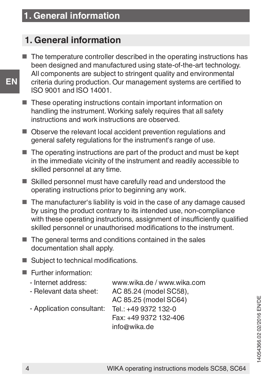### **1. General information**

- The temperature controller described in the operating instructions has been designed and manufactured using state-of-the-art technology. All components are subject to stringent quality and environmental criteria during production. Our management systems are certified to ISO 9001 and ISO 14001.
- These operating instructions contain important information on handling the instrument. Working safely requires that all safety instructions and work instructions are observed.
- Observe the relevant local accident prevention regulations and general safety regulations for the instrument's range of use.
- The operating instructions are part of the product and must be kept in the immediate vicinity of the instrument and readily accessible to skilled personnel at any time.
- Skilled personnel must have carefully read and understood the operating instructions prior to beginning any work.
- The manufacturer's liability is void in the case of any damage caused by using the product contrary to its intended use, non-compliance with these operating instructions, assignment of insufficiently qualified skilled personnel or unauthorised modifications to the instrument.
- The general terms and conditions contained in the sales documentation shall apply.
- Subject to technical modifications.
- Further information:

| - Internet address:       | www.wika.de / www.wika.com |
|---------------------------|----------------------------|
| - Relevant data sheet:    | AC 85.24 (model SC58).     |
|                           | AC 85.25 (model SC64)      |
| - Application consultant: | Tel.: +49 9372 132-0       |
|                           | Fax: +49 9372 132-406      |
|                           | info@wika.de               |
|                           |                            |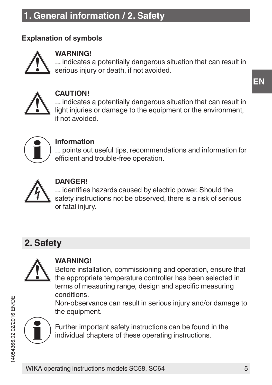### **1. General information / 2. Safety**

### **Explanation of symbols**



#### **WARNING!**

... indicates a potentially dangerous situation that can result in serious injury or death, if not avoided.



#### **CAUTION!**

... indicates a potentially dangerous situation that can result in light injuries or damage to the equipment or the environment. if not avoided.



### **Information**

... points out useful tips, recommendations and information for efficient and trouble-free operation.



#### **DANGER!**

... identifies hazards caused by electric power. Should the safety instructions not be observed, there is a risk of serious or fatal injury.

### **2. Safety**



### **WARNING!**

Before installation, commissioning and operation, ensure that the appropriate temperature controller has been selected in terms of measuring range, design and specific measuring conditions.

Non-observance can result in serious injury and/or damage to the equipment.



Further important safety instructions can be found in the individual chapters of these operating instructions.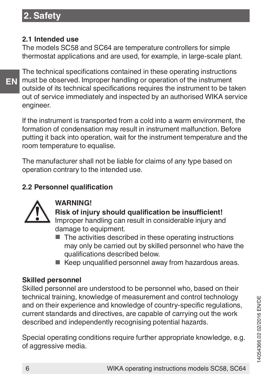### **2. Safety**

#### **2.1 Intended use**

The models SC58 and SC64 are temperature controllers for simple thermostat applications and are used, for example, in large-scale plant.

**EN**

The technical specifications contained in these operating instructions must be observed. Improper handling or operation of the instrument outside of its technical specifications requires the instrument to be taken out of service immediately and inspected by an authorised WIKA service engineer.

If the instrument is transported from a cold into a warm environment, the formation of condensation may result in instrument malfunction. Before putting it back into operation, wait for the instrument temperature and the room temperature to equalise.

The manufacturer shall not be liable for claims of any type based on operation contrary to the intended use.

### **2.2 Personnel qualification**



#### **WARNING!**

**Risk of injury should qualification be insufficient!** Improper handling can result in considerable injury and damage to equipment.

- The activities described in these operating instructions may only be carried out by skilled personnel who have the qualifications described below.
- Keep unqualified personnel away from hazardous areas.

### **Skilled personnel**

Skilled personnel are understood to be personnel who, based on their technical training, knowledge of measurement and control technology and on their experience and knowledge of country-specific regulations. current standards and directives, are capable of carrying out the work described and independently recognising potential hazards.

Special operating conditions require further appropriate knowledge, e.g. of aggressive media.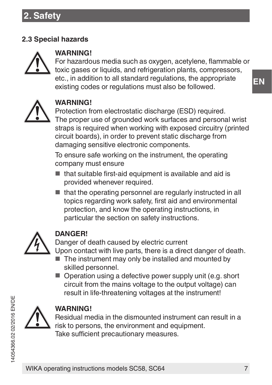### **2.3 Special hazards**



### **WARNING!**

For hazardous media such as oxygen, acetylene, flammable or toxic gases or liquids, and refrigeration plants, compressors, etc., in addition to all standard regulations, the appropriate existing codes or regulations must also be followed.



### **WARNING!**

Protection from electrostatic discharge (ESD) required. The proper use of grounded work surfaces and personal wrist straps is required when working with exposed circuitry (printed circuit boards), in order to prevent static discharge from damaging sensitive electronic components.

To ensure safe working on the instrument, the operating company must ensure

- that suitable first-aid equipment is available and aid is provided whenever required.
- that the operating personnel are regularly instructed in all topics regarding work safety, first aid and environmental protection, and know the operating instructions, in particular the section on safety instructions.



### **DANGER!**

Danger of death caused by electric current Upon contact with live parts, there is a direct danger of death.

- The instrument may only be installed and mounted by skilled personnel.
- Operation using a defective power supply unit (e.g. short circuit from the mains voltage to the output voltage) can result in life-threatening voltages at the instrument!



### **WARNING!**

Residual media in the dismounted instrument can result in a risk to persons, the environment and equipment. Take sufficient precautionary measures.

**EN**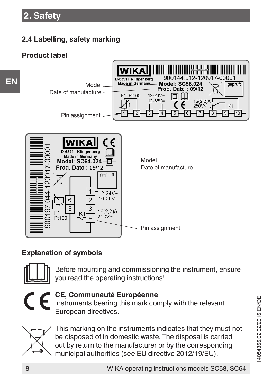### **2.4 Labelling, safety marking**

### **Product label**



### **Explanation of symbols**



Before mounting and commissioning the instrument, ensure you read the operating instructions!



### **CE, Communauté Européenne**

Instruments bearing this mark comply with the relevant European directives.



This marking on the instruments indicates that they must not be disposed of in domestic waste. The disposal is carried out by return to the manufacturer or by the corresponding municipal authorities (see EU directive 2012/19/EU).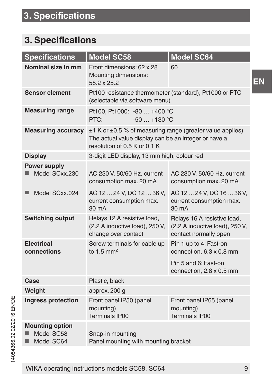### **3. Specifications**

| <b>Specifications</b>                              | Model SC58                                                                                                                                            | Model SC64                                                                             |
|----------------------------------------------------|-------------------------------------------------------------------------------------------------------------------------------------------------------|----------------------------------------------------------------------------------------|
| Nominal size in mm                                 | Front dimensions: 62 x 28<br>Mounting dimensions:<br>58.2 x 25.2                                                                                      | 60                                                                                     |
| Sensor element                                     | Pt100 resistance thermometer (standard), Pt1000 or PTC<br>(selectable via software menu)                                                              |                                                                                        |
| <b>Measuring range</b>                             | Pt100, Pt1000: -80  +400 °C<br>$-50+130$ °C<br>PTC:                                                                                                   |                                                                                        |
| <b>Measuring accuracy</b>                          | $±1$ K or $±0.5$ % of measuring range (greater value applies)<br>The actual value display can be an integer or have a<br>resolution of 0.5 K or 0.1 K |                                                                                        |
| Display                                            | 3-digit LED display, 13 mm high, colour red                                                                                                           |                                                                                        |
| Power supply<br>Model SCxx.230                     | AC 230 V, 50/60 Hz, current<br>consumption max. 20 mA                                                                                                 | AC 230 V, 50/60 Hz, current<br>consumption max. 20 mA                                  |
| Model SCxx.024                                     | AC 12  24 V, DC 12  36 V,<br>current consumption max.<br>30 <sub>m</sub> A                                                                            | AC 12  24 V, DC 16  36 V,<br>current consumption max.<br>30 <sub>m</sub> A             |
| Switching output                                   | Relays 12 A resistive load,<br>(2.2 A inductive load), 250 V,<br>change over contact                                                                  | Relays 16 A resistive load,<br>(2.2 A inductive load), 250 V,<br>contact normally open |
| Electrical<br>connections                          | Screw terminals for cable up<br>to $1.5$ mm <sup>2</sup>                                                                                              | Pin 1 up to 4: Fast-on<br>connection, 6.3 x 0.8 mm                                     |
|                                                    |                                                                                                                                                       | Pin 5 and 6: Fast-on<br>connection, 2.8 x 0.5 mm                                       |
| Case                                               | Plastic, black                                                                                                                                        |                                                                                        |
| Weight                                             | approx. 200 g                                                                                                                                         |                                                                                        |
| Ingress protection                                 | Front panel IP50 (panel<br>mounting)<br>Terminals IP00                                                                                                | Front panel IP65 (panel<br>mounting)<br><b>Terminals IP00</b>                          |
| <b>Mounting option</b><br>Model SC58<br>Model SC64 | Snap-in mounting<br>Panel mounting with mounting bracket                                                                                              |                                                                                        |

WIKA operating instructions models SC58, SC64 9

**EN**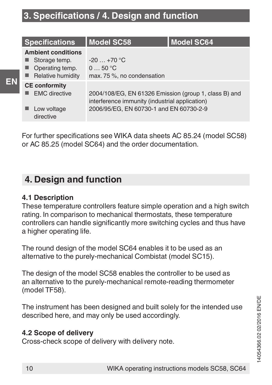### **3. Specifications / 4. Design and function**

| <b>Specifications</b>                                                                   | <b>Model SC58</b>                                                                                                                                  | <b>Model SC64</b> |
|-----------------------------------------------------------------------------------------|----------------------------------------------------------------------------------------------------------------------------------------------------|-------------------|
| <b>Ambient conditions</b><br>Storage temp.<br>٠<br>Operating temp.<br>Relative humidity | $-20+70$ °C<br>050 °C<br>max. 75 %, no condensation                                                                                                |                   |
| <b>CE</b> conformity<br><b>EMC</b> directive<br>Low voltage<br>directive                | 2004/108/EG, EN 61326 Emission (group 1, class B) and<br>interference immunity (industrial application)<br>2006/95/EG, EN 60730-1 and EN 60730-2-9 |                   |

For further specifications see WIKA data sheets AC 85.24 (model SC58) or AC 85.25 (model SC64) and the order documentation.

### **4. Design and function**

### **4.1 Description**

**EN**

These temperature controllers feature simple operation and a high switch rating. In comparison to mechanical thermostats, these temperature controllers can handle significantly more switching cycles and thus have a higher operating life.

The round design of the model SC64 enables it to be used as an alternative to the purely-mechanical Combistat (model SC15).

The design of the model SC58 enables the controller to be used as an alternative to the purely-mechanical remote-reading thermometer (model TF58).

The instrument has been designed and built solely for the intended use described here, and may only be used accordingly.

### **4.2 Scope of delivery**

Cross-check scope of delivery with delivery note.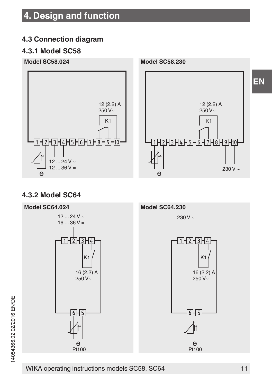### **4. Design and function**

### **4.3 Connection diagram**

### **4.3.1 Model SC58**



### **4.3.2 Model SC64**

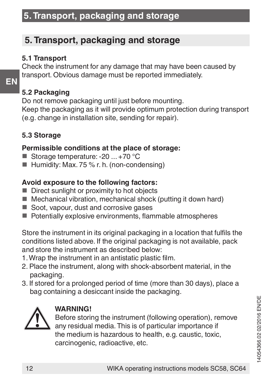### **5. Transport, packaging and storage**

### **5. Transport, packaging and storage**

### **5.1 Transport**

Check the instrument for any damage that may have been caused by transport. Obvious damage must be reported immediately.

### **5.2 Packaging**

**EN**

Do not remove packaging until just before mounting. Keep the packaging as it will provide optimum protection during transport (e.g. change in installation site, sending for repair).

### **5.3 Storage**

### **Permissible conditions at the place of storage:**

- Storage temperature: -20 ... +70 °C
- Humidity: Max. 75 % r. h. (non-condensing)

### **Avoid exposure to the following factors:**

- Direct sunlight or proximity to hot objects
- Mechanical vibration, mechanical shock (putting it down hard)
- Soot, vapour, dust and corrosive gases
- Potentially explosive environments, flammable atmospheres

Store the instrument in its original packaging in a location that fulfils the conditions listed above. If the original packaging is not available, pack and store the instrument as described below:

- 1. Wrap the instrument in an antistatic plastic film.
- 2. Place the instrument, along with shock-absorbent material, in the packaging.
- 3. If stored for a prolonged period of time (more than 30 days), place a bag containing a desiccant inside the packaging.



### **WARNING!**

Before storing the instrument (following operation), remove any residual media. This is of particular importance if the medium is hazardous to health, e.g. caustic, toxic, carcinogenic, radioactive, etc.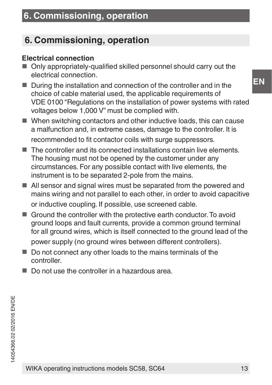### **6. Commissioning, operation**

### **Electrical connection**

- Only appropriately-qualified skilled personnel should carry out the electrical connection.
- During the installation and connection of the controller and in the choice of cable material used, the applicable requirements of VDE 0100 "Regulations on the installation of power systems with rated voltages below 1,000 V" must be complied with.
- When switching contactors and other inductive loads, this can cause a malfunction and, in extreme cases, damage to the controller. It is recommended to fit contactor coils with surge suppressors.
- The controller and its connected installations contain live elements. The housing must not be opened by the customer under any circumstances. For any possible contact with live elements, the instrument is to be separated 2-pole from the mains.
- All sensor and signal wires must be separated from the powered and mains wiring and not parallel to each other, in order to avoid capacitive or inductive coupling. If possible, use screened cable.
- Ground the controller with the protective earth conductor. To avoid ground loops and fault currents, provide a common ground terminal for all ground wires, which is itself connected to the ground lead of the

power supply (no ground wires between different controllers).

- Do not connect any other loads to the mains terminals of the controller.
- Do not use the controller in a hazardous area.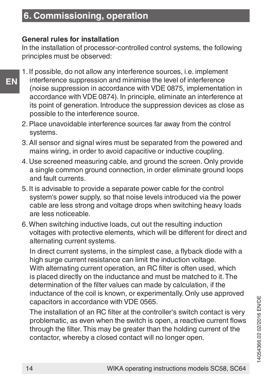#### **General rules for installation**

In the installation of processor-controlled control systems, the following principles must be observed:

- **EN**
- 1. If possible, do not allow any interference sources, i.e. implement interference suppression and minimise the level of interference (noise suppression in accordance with VDE 0875, implementation in accordance with VDE 0874). In principle, eliminate an interference at its point of generation. Introduce the suppression devices as close as possible to the interference source.
- 2. Place unavoidable interference sources far away from the control systems.
- 3. All sensor and signal wires must be separated from the powered and mains wiring, in order to avoid capacitive or inductive coupling.
- 4. Use screened measuring cable, and ground the screen. Only provide a single common ground connection, in order eliminate ground loops and fault currents.
- 5. It is advisable to provide a separate power cable for the control system's power supply, so that noise levels introduced via the power cable are less strong and voltage drops when switching heavy loads are less noticeable.
- 6. When switching inductive loads, cut out the resulting induction voltages with protective elements, which will be different for direct and alternating current systems.

In direct current systems, in the simplest case, a flyback diode with a high surge current resistance can limit the induction voltage. With alternating current operation, an RC filter is often used, which is placed directly on the inductance and must be matched to it. The determination of the filter values can made by calculation, if the inductance of the coil is known, or experimentally. Only use approved capacitors in accordance with VDE 0565.

The installation of an RC filter at the controller's switch contact is very problematic, as even when the switch is open, a reactive current flows through the filter. This may be greater than the holding current of the contactor, whereby a closed contact will no longer open.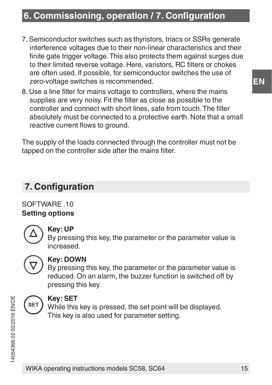### **6. Commissioning, operation / 7. Configuration**

- 7. Semiconductor switches such as thyristors, triacs or SSRs generate interference voltages due to their non-linear characteristics and their finite gate trigger voltage. This also protects them against surges due to their limited reverse voltage. Here, varistors, RC filters or chokes are often used. If possible, for semiconductor switches the use of zero-voltage switches is recommended.
- 8. Use a line filter for mains voltage to controllers, where the mains supplies are very noisy. Fit the filter as close as possible to the controller and connect with short lines, safe from touch. The filter absolutely must be connected to a protective earth. Note that a small reactive current flows to ground.

The supply of the loads connected through the controller must not be tapped on the controller side after the mains filter.

### **7. Configuration**

SOFTWARE 10 **Setting options**



### **Key: UP**

By pressing this key, the parameter or the parameter value is increased.



### **Key: DOWN**

By pressing this key, the parameter or the parameter value is reduced. On an alarm, the buzzer function is switched off by pressing this key.



### **Key: SET**

While this key is pressed, the set point will be displayed. This key is also used for parameter setting.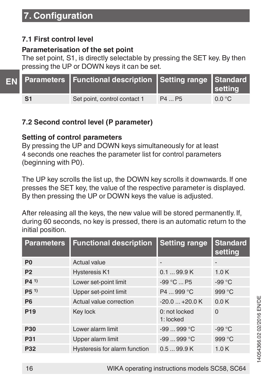### **7.1 First control level**

### **Parameterisation of the set point**

The set point, S1, is directly selectable by pressing the SET key. By then pressing the UP or DOWN keys it can be set.

|                | EN Parameters Functional description Setting range Standard |        | setting         |
|----------------|-------------------------------------------------------------|--------|-----------------|
| S <sub>1</sub> | Set point, control contact 1                                | P4  P5 | $0.0 \degree C$ |

### **7.2 Second control level (P parameter)**

### **Setting of control parameters**

By pressing the UP and DOWN keys simultaneously for at least 4 seconds one reaches the parameter list for control parameters (beginning with P0).

The UP key scrolls the list up, the DOWN key scrolls it downwards. If one presses the SET key, the value of the respective parameter is displayed. By then pressing the UP or DOWN keys the value is adjusted.

After releasing all the keys, the new value will be stored permanently. If, during 60 seconds, no key is pressed, there is an automatic return to the initial position.

| <b>Parameters</b> | <b>Functional description</b> | <b>Setting range</b>       | <b>Standard</b><br>setting |
|-------------------|-------------------------------|----------------------------|----------------------------|
| P <sub>0</sub>    | Actual value                  | -                          | ۰                          |
| P <sub>2</sub>    | <b>Hysteresis K1</b>          | 0.199.9K                   | 1.0K                       |
| P(41)             | Lower set-point limit         | -99 °C  P5                 | $-99^{\circ}$ C            |
| $P5^{1}$          | Upper set-point limit         | P4  999 °C                 | 999 °C                     |
| P <sub>6</sub>    | Actual value correction       | $-20.0$ $+20.0$ K          | 0.0K                       |
| P <sub>19</sub>   | Key lock                      | 0: not locked<br>1: locked | $\Omega$                   |
| P30               | Lower alarm limit             | $-99999$ °C                | $-99^{\circ}$ C            |
| P31               | Upper alarm limit             | $-99 - 999 °C$             | 999 °C                     |
| P32               | Hysteresis for alarm function | 0.599.9K                   | 1.0K                       |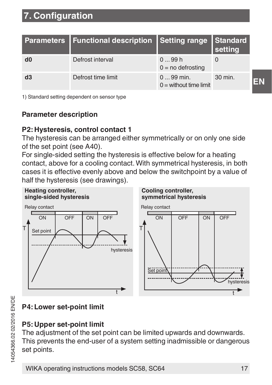|    | Parameters   Functional description   Setting range   Standard |                                        | setting |
|----|----------------------------------------------------------------|----------------------------------------|---------|
| d0 | Defrost interval                                               | 099h<br>$0 = no$ defrosting            |         |
| d3 | Defrost time limit                                             | $099$ min.<br>$0 =$ without time limit | 30 min. |

1) Standard setting dependent on sensor type

### **Parameter description**

### **P2: Hysteresis, control contact 1**

The hysteresis can be arranged either symmetrically or on only one side of the set point (see A40).

For single-sided setting the hysteresis is effective below for a heating contact, above for a cooling contact. With symmetrical hysteresis, in both cases it is effective evenly above and below the switchpoint by a value of half the hysteresis (see drawings).



### **P4: Lower set-point limit**

#### **P5: Upper set-point limit**

The adjustment of the set point can be limited upwards and downwards. This prevents the end-user of a system setting inadmissible or dangerous set points.

**EN**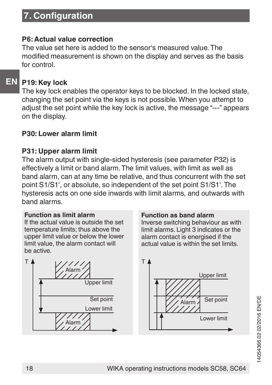### **P6: Actual value correction**

The value set here is added to the sensor's measured value. The modified measurement is shown on the display and serves as the basis for control.

### **EN**

### **P19: Key lock**

The key lock enables the operator keys to be blocked. In the locked state, changing the set point via the keys is not possible. When you attempt to adjust the set point while the key lock is active, the message "---" appears on the display.

### **P30: Lower alarm limit**

### **P31: Upper alarm limit**

The alarm output with single-sided hysteresis (see parameter P32) is effectively a limit or band alarm. The limit values, with limit as well as band alarm, can at any time be relative, and thus concurrent with the set point S1/S1', or absolute, so independent of the set point S1/S1'. The hysteresis acts on one side inwards with limit alarms, and outwards with band alarms.

#### **Function as limit alarm**

If the actual value is outside the set temperature limits; thus above the upper limit value or below the lower limit value, the alarm contact will be active.



#### **Function as band alarm**

Inverse switching behaviour as with limit alarms. Light 3 indicates or the alarm contact is energised if the actual value is within the set limits.



14054366.02 02/2016 EN/DE 4054366.0202/2016 EN/DE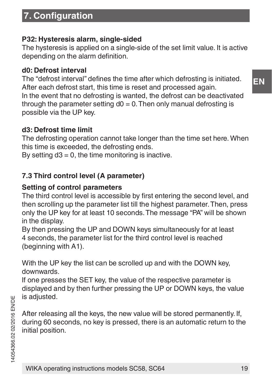### **P32: Hysteresis alarm, single-sided**

The hysteresis is applied on a single-side of the set limit value. It is active depending on the alarm definition.

### **d0: Defrost interval**

The "defrost interval" defines the time after which defrosting is initiated. After each defrost start, this time is reset and processed again. In the event that no defrosting is wanted, the defrost can be deactivated through the parameter setting  $d0 = 0$ . Then only manual defrosting is possible via the UP key.

### **d3: Defrost time limit**

The defrosting operation cannot take longer than the time set here. When this time is exceeded, the defrosting ends.

By setting  $d3 = 0$ , the time monitoring is inactive.

### **7.3 Third control level (A parameter)**

### **Setting of control parameters**

The third control level is accessible by first entering the second level, and then scrolling up the parameter list till the highest parameter. Then, press only the UP key for at least 10 seconds. The message "PA" will be shown in the display.

By then pressing the UP and DOWN keys simultaneously for at least 4 seconds, the parameter list for the third control level is reached (beginning with A1).

With the UP key the list can be scrolled up and with the DOWN key. downwards.

If one presses the SET key, the value of the respective parameter is displayed and by then further pressing the UP or DOWN keys, the value is adjusted.

After releasing all the keys, the new value will be stored permanently. If, during 60 seconds, no key is pressed, there is an automatic return to the initial position.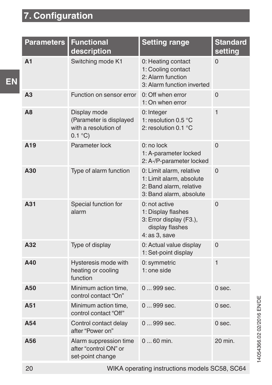۰

| Parameters      | <b>Functional</b><br>description                                          | Setting range                                                                                              | Standard<br>setting |
|-----------------|---------------------------------------------------------------------------|------------------------------------------------------------------------------------------------------------|---------------------|
| A1              | Switching mode K1                                                         | 0: Heating contact<br>1: Cooling contact<br>2: Alarm function<br>3: Alarm function inverted                | $\Omega$            |
| A3              | Function on sensor error                                                  | 0: Off when error<br>1: On when error                                                                      | $\Omega$            |
| A <sub>8</sub>  | Display mode<br>(Parameter is displayed<br>with a resolution of<br>0.1 °C | 0: Integer<br>1: resolution 0.5 °C<br>2: resolution 0.1 °C                                                 | $\mathbf{1}$        |
| A <sub>19</sub> | Parameter lock                                                            | $0:$ no lock<br>1: A-parameter locked<br>2: A-/P-parameter locked                                          | $\Omega$            |
| A30             | Type of alarm function                                                    | 0: Limit alarm, relative<br>1: Limit alarm, absolute<br>2: Band alarm, relative<br>3: Band alarm, absolute | $\Omega$            |
| A31             | Special function for<br>alarm                                             | $0:$ not active<br>1: Display flashes<br>3: Error display (F3.),<br>display flashes<br>$4:$ as $3.$ save   | $\Omega$            |
| A32             | Type of display                                                           | 0: Actual value display<br>1: Set-point display                                                            | $\Omega$            |
| A40             | Hysteresis mode with<br>heating or cooling<br>function                    | 0: symmetric<br>$1:$ one side                                                                              | $\overline{1}$      |
| A50             | Minimum action time.<br>control contact "On"                              | $0999$ sec.                                                                                                | $0$ sec.            |
| A51             | Minimum action time,<br>control contact "Off"                             | $0999$ sec.                                                                                                | $0$ sec.            |
| A54             | Control contact delay<br>after "Power on"                                 | $0999$ sec.                                                                                                | $0$ sec.            |
| A56             | Alarm suppression time<br>after "control ON" or<br>set-point change       | $060$ min.                                                                                                 | 20 min.             |
| $20^{1}$        |                                                                           | WIKA operating instructions models SC58, SC64                                                              |                     |

**Contract Contract Contract**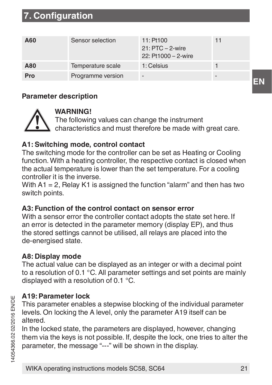| A60 | Sensor selection  | $11:$ Pt100<br>21: PTC - 2-wire<br>22: Pt1000 - 2-wire | 11 |
|-----|-------------------|--------------------------------------------------------|----|
| A80 | Temperature scale | 1: Celsius                                             |    |
| Pro | Programme version |                                                        |    |

#### **Parameter description**



### **WARNING!**

The following values can change the instrument characteristics and must therefore be made with great care.

### **A1: Switching mode, control contact**

The switching mode for the controller can be set as Heating or Cooling function. With a heating controller, the respective contact is closed when the actual temperature is lower than the set temperature. For a cooling controller it is the inverse.

With A1 = 2. Relay K1 is assigned the function "alarm" and then has two switch points.

#### **A3: Function of the control contact on sensor error**

With a sensor error the controller contact adopts the state set here. If an error is detected in the parameter memory (display EP), and thus the stored settings cannot be utilised, all relays are placed into the de-energised state.

#### **A8: Display mode**

The actual value can be displayed as an integer or with a decimal point to a resolution of 0.1 °C. All parameter settings and set points are mainly displayed with a resolution of 0.1 °C.

#### **A19: Parameter lock**

This parameter enables a stepwise blocking of the individual parameter levels. On locking the A level, only the parameter A19 itself can be altered.

In the locked state, the parameters are displayed, however, changing them via the keys is not possible. If, despite the lock, one tries to alter the parameter, the message "---" will be shown in the display.

**EN**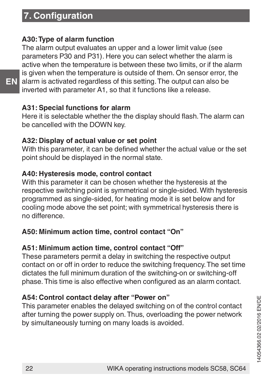**EN**

### **A30: Type of alarm function**

The alarm output evaluates an upper and a lower limit value (see parameters P30 and P31). Here you can select whether the alarm is active when the temperature is between these two limits, or if the alarm is given when the temperature is outside of them. On sensor error, the alarm is activated regardless of this setting. The output can also be inverted with parameter A1, so that it functions like a release.

#### **A31: Special functions for alarm**

Here it is selectable whether the the display should flash. The alarm can be cancelled with the DOWN key.

#### **A32: Display of actual value or set point**

With this parameter, it can be defined whether the actual value or the set point should be displayed in the normal state.

#### **A40: Hysteresis mode, control contact**

With this parameter it can be chosen whether the hysteresis at the respective switching point is symmetrical or single-sided. With hysteresis programmed as single-sided, for heating mode it is set below and for cooling mode above the set point; with symmetrical hysteresis there is no difference.

### **A50: Minimum action time, control contact "On"**

#### **A51: Minimum action time, control contact "Off"**

These parameters permit a delay in switching the respective output contact on or off in order to reduce the switching frequency. The set time dictates the full minimum duration of the switching-on or switching-off phase. This time is also effective when configured as an alarm contact.

### **A54: Control contact delay after "Power on"**

This parameter enables the delayed switching on of the control contact after turning the power supply on. Thus, overloading the power network by simultaneously turning on many loads is avoided.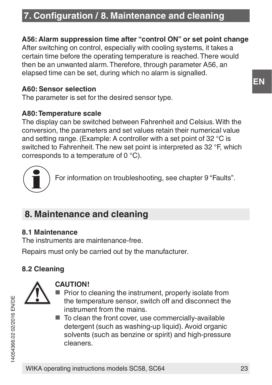### **7. Configuration / 8. Maintenance and cleaning**

### **A56: Alarm suppression time after "control ON" or set point change**

After switching on control, especially with cooling systems, it takes a certain time before the operating temperature is reached. There would then be an unwanted alarm. Therefore, through parameter A56, an elapsed time can be set, during which no alarm is signalled.

#### **A60: Sensor selection**

The parameter is set for the desired sensor type.

#### **A80: Temperature scale**

The display can be switched between Fahrenheit and Celsius. With the conversion, the parameters and set values retain their numerical value and setting range. (Example: A controller with a set point of 32 °C is switched to Fahrenheit. The new set point is interpreted as 32 °F, which corresponds to a temperature of 0 °C).

For information on troubleshooting, see chapter 9 "Faults".

### **8. Maintenance and cleaning**

#### **8.1 Maintenance**

The instruments are maintenance-free.

Repairs must only be carried out by the manufacturer.

### **8.2 Cleaning**



### **CAUTION!**

- Prior to cleaning the instrument, properly isolate from the temperature sensor, switch off and disconnect the instrument from the mains.
- To clean the front cover, use commercially-available detergent (such as washing-up liquid). Avoid organic solvents (such as benzine or spirit) and high-pressure cleaners.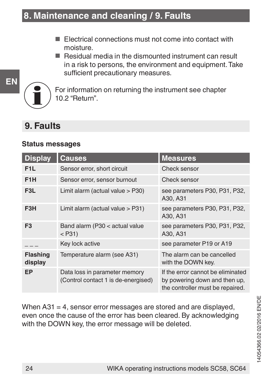- Electrical connections must not come into contact with moisture.
- Residual media in the dismounted instrument can result in a risk to persons, the environment and equipment. Take sufficient precautionary measures.



For information on returning the instrument see chapter 10.2 "Return".

### **9. Faults**

#### **Status messages**

| <b>Display</b>      | Causes                                                               | <b>Measures</b>                                                                                        |
|---------------------|----------------------------------------------------------------------|--------------------------------------------------------------------------------------------------------|
| F <sub>1</sub> L    | Sensor error, short circuit                                          | Check sensor                                                                                           |
| F <sub>1</sub> H    | Sensor error, sensor burnout                                         | Check sensor                                                                                           |
| F <sub>3</sub> L    | Limit alarm (actual value > P30)                                     | see parameters P30, P31, P32,<br>A30, A31                                                              |
| F <sub>3</sub> H    | Limit alarm (actual value > P31)                                     | see parameters P30, P31, P32,<br>A30, A31                                                              |
| F <sub>3</sub>      | Band alarm (P30 < actual value<br>$<$ P31)                           | see parameters P30, P31, P32,<br>A30, A31                                                              |
|                     | Key lock active                                                      | see parameter P19 or A19                                                                               |
| Flashing<br>display | Temperature alarm (see A31)                                          | The alarm can be cancelled<br>with the DOWN kev.                                                       |
| EP                  | Data loss in parameter memory<br>(Control contact 1 is de-energised) | If the error cannot be eliminated<br>by powering down and then up,<br>the controller must be repaired. |

When  $A31 = 4$ , sensor error messages are stored and are displayed. even once the cause of the error has been cleared. By acknowledging with the DOWN key, the error message will be deleted.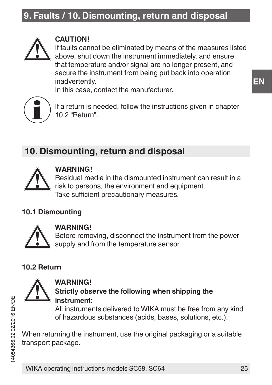### **9. Faults / 10. Dismounting, return and disposal**



#### **CAUTION!**

If faults cannot be eliminated by means of the measures listed above, shut down the instrument immediately, and ensure that temperature and/or signal are no longer present, and secure the instrument from being put back into operation inadvertently.

In this case, contact the manufacturer.



If a return is needed, follow the instructions given in chapter 10.2 "Return".

### **10. Dismounting, return and disposal**



### **WARNING!**

Residual media in the dismounted instrument can result in a risk to persons, the environment and equipment. Take sufficient precautionary measures.

### **10.1 Dismounting**



#### **WARNING!**

**WARNING!**

Before removing, disconnect the instrument from the power supply and from the temperature sensor.

### **10.2 Return**



### **Strictly observe the following when shipping the instrument:**

All instruments delivered to WIKA must be free from any kind of hazardous substances (acids, bases, solutions, etc.).

When returning the instrument, use the original packaging or a suitable transport package.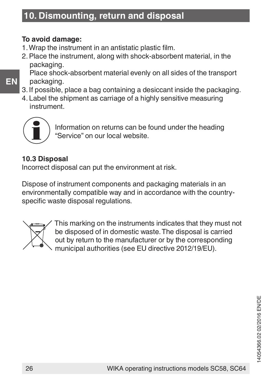### **10. Dismounting, return and disposal**

### **To avoid damage:**

- 1. Wrap the instrument in an antistatic plastic film.
- 2. Place the instrument, along with shock-absorbent material, in the packaging.

Place shock-absorbent material evenly on all sides of the transport packaging.

- 3. If possible, place a bag containing a desiccant inside the packaging.
- 4. Label the shipment as carriage of a highly sensitive measuring instrument.



**EN**

Information on returns can be found under the heading "Service" on our local website.

### **10.3 Disposal**

Incorrect disposal can put the environment at risk.

Dispose of instrument components and packaging materials in an environmentally compatible way and in accordance with the countryspecific waste disposal regulations.



This marking on the instruments indicates that they must not be disposed of in domestic waste. The disposal is carried out by return to the manufacturer or by the corresponding municipal authorities (see EU directive 2012/19/EU).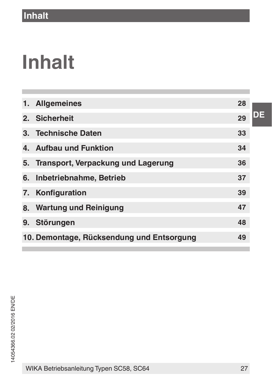# **Inhalt**

| 1. Allgemeines                            | 28 |
|-------------------------------------------|----|
| 2. Sicherheit                             | 29 |
| 3. Technische Daten                       | 33 |
| 4. Aufbau und Funktion                    | 34 |
| 5. Transport, Verpackung und Lagerung     | 36 |
| 6. Inbetriebnahme, Betrieb                | 37 |
| 7. Konfiguration                          | 39 |
| 8. Wartung und Reinigung                  | 47 |
| 9. Störungen                              | 48 |
| 10. Demontage, Rücksendung und Entsorgung | 49 |
|                                           |    |

WIKA Betriebsanleitung Typen SC58, SC64 27

**DE**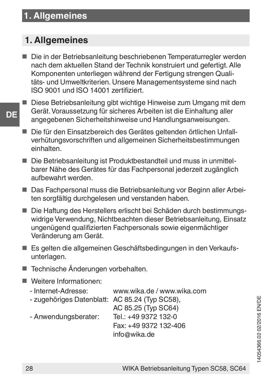### **1. Allgemeines**

### **1. Allgemeines**

**DE**

- Die in der Betriebsanleitung beschriebenen Temperaturregler werden nach dem aktuellen Stand der Technik konstruiert und gefertigt. Alle Komponenten unterliegen während der Fertigung strengen Qualitäts- und Umweltkriterien. Unsere Managementsysteme sind nach ISO 9001 und ISO 14001 zertifiziert.
- Diese Betriebsanleitung gibt wichtige Hinweise zum Umgang mit dem Gerät. Voraussetzung für sicheres Arbeiten ist die Einhaltung aller angegebenen Sicherheitshinweise und Handlungsanweisungen.
- Die für den Einsatzbereich des Gerätes geltenden örtlichen Unfallverhütungsvorschriften und allgemeinen Sicherheitsbestimmungen einhalten.
- Die Betriebsanleitung ist Produktbestandteil und muss in unmittelbarer Nähe des Gerätes für das Fachpersonal jederzeit zugänglich aufbewahrt werden.
- Das Fachnersonal muss die Betriebsanleitung vor Beginn aller Arbeiten sorgfältig durchgelesen und verstanden haben.
- Die Haftung des Herstellers erlischt bei Schäden durch bestimmungswidrige Verwendung, Nichtbeachten dieser Betriebsanleitung, Einsatz ungenügend qualifizierten Fachpersonals sowie eigenmächtiger Veränderung am Gerät.
- Es gelten die allgemeinen Geschäftsbedingungen in den Verkaufsunterlagen.
- Technische Änderungen vorbehalten.
- Weitere Informationen:
	- Internet-Adresse: www.wika.de / www.wika.com
	- zugehöriges Datenblatt: AC 85.24 (Typ SC58),

AC 85.25 (Typ SC64)<br>Tel : +49.9372.132-0 - Anwendungsberater: Fax: +49 9372 132-406 info@wika.de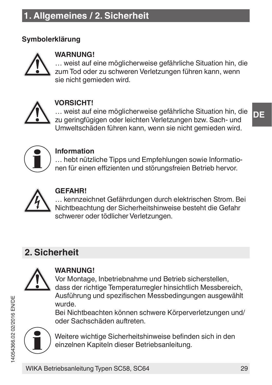### **Symbolerklärung**



### **WARNUNG!**

… weist auf eine möglicherweise gefährliche Situation hin, die zum Tod oder zu schweren Verletzungen führen kann, wenn sie nicht gemieden wird.



### **VORSICHT!**

… weist auf eine möglicherweise gefährliche Situation hin, die zu geringfügigen oder leichten Verletzungen bzw. Sach- und Umweltschäden führen kann, wenn sie nicht gemieden wird.



#### **Information**

… hebt nützliche Tipps und Empfehlungen sowie Informationen für einen effizienten und störungsfreien Betrieb hervor.



### **GEFAHR!**

… kennzeichnet Gefährdungen durch elektrischen Strom. Bei Nichtbeachtung der Sicherheitshinweise besteht die Gefahr schwerer oder tödlicher Verletzungen.

### **2. Sicherheit**



### **WARNUNG!**

Vor Montage, Inbetriebnahme und Betrieb sicherstellen, dass der richtige Temperaturregler hinsichtlich Messbereich, Ausführung und spezifischen Messbedingungen ausgewählt wurde.

Bei Nichtbeachten können schwere Körperverletzungen und/ oder Sachschäden auftreten.



Weitere wichtige Sicherheitshinweise befinden sich in den einzelnen Kapiteln dieser Betriebsanleitung.

14054366.02 02/2016 EN/DE

4054366.0202/2016 EN/DE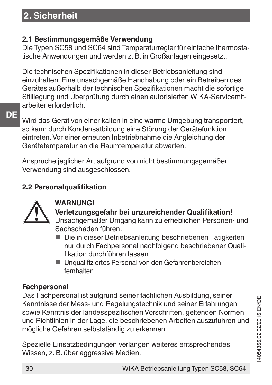### **2. Sicherheit**

### **2.1 Bestimmungsgemäße Verwendung**

Die Typen SC58 und SC64 sind Temperaturregler für einfache thermostatische Anwendungen und werden z. B. in Großanlagen eingesetzt.

Die technischen Spezifikationen in dieser Betriebsanleitung sind einzuhalten. Eine unsachgemäße Handhabung oder ein Betreiben des Gerätes außerhalb der technischen Spezifikationen macht die sofortige Stilllegung und Überprüfung durch einen autorisierten WIKA-Servicemitarbeiter erforderlich.

**DE**

Wird das Gerät von einer kalten in eine warme Umgebung transportiert, so kann durch Kondensatbildung eine Störung der Gerätefunktion eintreten. Vor einer erneuten Inbetriebnahme die Angleichung der Gerätetemperatur an die Raumtemperatur abwarten.

Ansprüche jeglicher Art aufgrund von nicht bestimmungsgemäßer Verwendung sind ausgeschlossen.

### **2.2 Personalqualifikation**



### **WARNUNG!**

**Verletzungsgefahr bei unzureichender Qualifikation!** Unsachgemäßer Umgang kann zu erheblichen Personen- und Sachschäden führen.

- Die in dieser Betriebsanleitung beschriebenen Tätigkeiten nur durch Fachpersonal nachfolgend beschriebener Qualifikation durchführen lassen.
- Unqualifiziertes Personal von den Gefahrenbereichen fernhalten.

### **Fachpersonal**

Das Fachpersonal ist aufgrund seiner fachlichen Ausbildung, seiner Kenntnisse der Mess- und Regelungstechnik und seiner Erfahrungen sowie Kenntnis der landesspezifischen Vorschriften, geltenden Normen und Richtlinien in der Lage, die beschriebenen Arbeiten auszuführen und mögliche Gefahren selbstständig zu erkennen.

Spezielle Einsatzbedingungen verlangen weiteres entsprechendes Wissen, z. B. über aggressive Medien.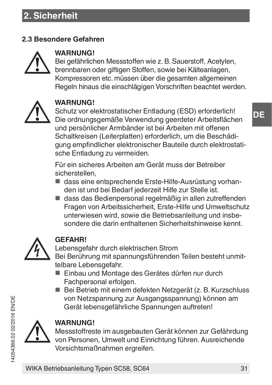### **2.3 Besondere Gefahren**



### **WARNUNG!**

Bei gefährlichen Messstoffen wie z. B. Sauerstoff, Acetylen, brennbaren oder giftigen Stoffen, sowie bei Kälteanlagen, Kompressoren etc. müssen über die gesamten allgemeinen Regeln hinaus die einschlägigen Vorschriften beachtet werden.



### **WARNUNG!**

Schutz vor elektrostatischer Entladung (ESD) erforderlich! Die ordnungsgemäße Verwendung geerdeter Arbeitsflächen und persönlicher Armbänder ist bei Arbeiten mit offenen Schaltkreisen (Leiterplatten) erforderlich, um die Beschädigung empfindlicher elektronischer Bauteile durch elektrostatische Entladung zu vermeiden.

Für ein sicheres Arbeiten am Gerät muss der Betreiber sicherstellen,

- dass eine entsprechende Erste-Hilfe-Ausrüstung vorhanden ist und bei Bedarf jederzeit Hilfe zur Stelle ist.
- dass das Bedienpersonal regelmäßig in allen zutreffenden Fragen von Arbeitssicherheit, Erste-Hilfe und Umweltschutz unterwiesen wird, sowie die Betriebsanleitung und insbesondere die darin enthaltenen Sicherheitshinweise kennt.



#### **GEFAHR!**

Lebensgefahr durch elektrischen Strom Bei Berührung mit spannungsführenden Teilen besteht unmittelbare Lebensgefahr.

- Einbau und Montage des Gerätes dürfen nur durch Fachpersonal erfolgen.
- Bei Betrieb mit einem defekten Netzgerät (z. B. Kurzschluss von Netzspannung zur Ausgangsspannung) können am Gerät lebensgefährliche Spannungen auftreten!



#### **WARNUNG!**

Messstoffreste im ausgebauten Gerät können zur Gefährdung von Personen, Umwelt und Einrichtung führen. Ausreichende Vorsichtsmaßnahmen ergreifen.

14054366.02 02/2016 EN/DE

4054366.0202/2016 EN/DE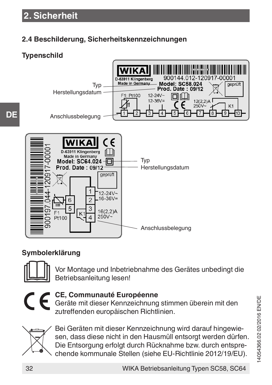### **2.4 Beschilderung, Sicherheitskennzeichnungen**

### **Typenschild**

**DE**



### **Symbolerklärung**



Vor Montage und Inbetriebnahme des Gerätes unbedingt die Betriebsanleitung lesen!



### **CE, Communauté Européenne**

Geräte mit dieser Kennzeichnung stimmen überein mit den zutreffenden europäischen Richtlinien.



Bei Geräten mit dieser Kennzeichnung wird darauf hingewiesen, dass diese nicht in den Hausmüll entsorgt werden dürfen. Die Entsorgung erfolgt durch Rücknahme bzw. durch entsprechende kommunale Stellen (siehe EU-Richtlinie 2012/19/EU).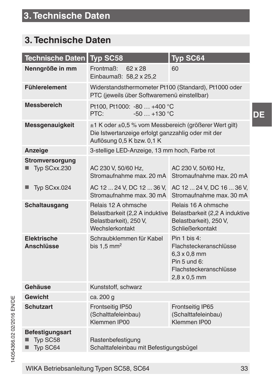### **3. Technische Daten**

| <b>Technische Daten</b>                 | Typ SC58                                                                                                                                  | Typ SC64                                                                                                                           |
|-----------------------------------------|-------------------------------------------------------------------------------------------------------------------------------------------|------------------------------------------------------------------------------------------------------------------------------------|
| Nenngröße in mm                         | Frontmaß:<br>62 x 28<br>Einbaumaß: 58.2 x 25.2                                                                                            | 60                                                                                                                                 |
| <b>Fühlerelement</b>                    | Widerstandsthermometer Pt100 (Standard), Pt1000 oder<br>PTC (jeweils über Softwaremenü einstellbar)                                       |                                                                                                                                    |
| <b>Messbereich</b>                      | Pt100, Pt1000: -80  +400 °C<br>$-50+130$ °C<br>PTC:                                                                                       |                                                                                                                                    |
| Messgenauigkeit                         | ±1 K oder ±0,5 % vom Messbereich (größerer Wert gilt)<br>Die Istwertanzeige erfolgt ganzzahlig oder mit der<br>Auflösung 0.5 K bzw. 0.1 K |                                                                                                                                    |
| Anzeige                                 | 3-stellige LED-Anzeige, 13 mm hoch, Farbe rot                                                                                             |                                                                                                                                    |
| Stromversorgung<br>Typ SCxx.230         | AC 230 V, 50/60 Hz,<br>Stromaufnahme max. 20 mA                                                                                           | AC 230 V, 50/60 Hz,<br>Stromaufnahme max. 20 mA                                                                                    |
| Typ SCxx.024                            | AC 12  24 V, DC 12  36 V,<br>Stromaufnahme max. 30 mA                                                                                     | AC 12  24 V, DC 16  36 V,<br>Stromaufnahme max. 30 mA                                                                              |
| Schaltausgang                           | Relais 12 A ohmsche<br>Belastbarkeit), 250 V,<br>Wechslerkontakt                                                                          | Relais 16 A ohmsche<br>Belastbarkeit (2,2 A induktive Belastbarkeit (2,2 A induktive<br>Belastbarkeit), 250 V,<br>Schließerkontakt |
| Elektrische<br>Anschlüsse               | Schraubklemmen für Kabel<br>bis $1,5$ mm <sup>2</sup>                                                                                     | Pin 1 bis 4:<br>Flachsteckeranschlüsse<br>$6.3 \times 0.8$ mm<br>Pin 5 und 6:<br>Flachsteckeranschlüsse<br>$2,8 \times 0,5$ mm     |
| Gehäuse                                 | Kunststoff, schwarz                                                                                                                       |                                                                                                                                    |
| Gewicht                                 | ca. 200 g                                                                                                                                 |                                                                                                                                    |
| <b>Schutzart</b>                        | Frontseitig IP50<br>(Schalttafeleinbau)<br>Klemmen IP00                                                                                   | Frontseitig IP65<br>(Schalttafeleinbau)<br>Klemmen IP00                                                                            |
| Befestigungsart<br>Typ SC58<br>Typ SC64 | Rastenbefestigung<br>Schalttafeleinbau mit Befestigungsbügel                                                                              |                                                                                                                                    |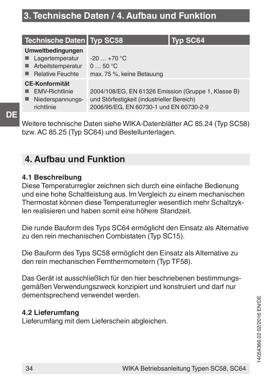### **3. Technische Daten / 4. Aufbau und Funktion**

| Technische Daten   Typ SC58                                                          |                                                                                                                                              | Typ SC64 |
|--------------------------------------------------------------------------------------|----------------------------------------------------------------------------------------------------------------------------------------------|----------|
| Umweltbedingungen<br>Lagertemperatur<br>Arbeitstemperatur<br><b>Relative Feuchte</b> | $-20+70$ °C<br>050 °C<br>max. 75 %, keine Betauung                                                                                           |          |
| <b>CE-Konformität</b><br><b>EMV-Richtlinie</b><br>Niederspannungs-<br>richtlinie     | 2004/108/EG, EN 61326 Emission (Gruppe 1, Klasse B)<br>und Störfestigkeit (industrieller Bereich)<br>2006/95/EG, EN 60730-1 und EN 60730-2-9 |          |

Weitere technische Daten siehe WIKA-Datenblätter AC 85.24 (Typ SC58) bzw. AC 85.25 (Typ SC64) und Bestellunterlagen.

### **4. Aufbau und Funktion**

#### **4.1 Beschreibung**

Diese Temperaturregler zeichnen sich durch eine einfache Bedienung und eine hohe Schaltleistung aus. Im Vergleich zu einem mechanischen Thermostat können diese Temperaturregler wesentlich mehr Schaltzyklen realisieren und haben somit eine höhere Standzeit.

Die runde Bauform des Typs SC64 ermöglicht den Einsatz als Alternative zu den rein mechanischen Combistaten (Typ SC15).

Die Bauform des Typs SC58 ermöglicht den Einsatz als Alternative zu den rein mechanischen Fernthermometern (Typ TF58).

Das Gerät ist ausschließlich für den hier beschriebenen bestimmungsgemäßen Verwendungszweck konzipiert und konstruiert und darf nur dementsprechend verwendet werden.

#### **4.2 Lieferumfang**

Lieferumfang mit dem Lieferschein abgleichen.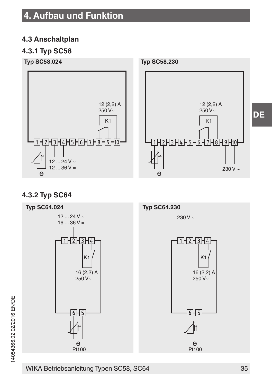### **4. Aufbau und Funktion**

### **4.3 Anschaltplan**

### **4.3.1 Typ SC58**



### **4.3.2 Typ SC64**



WIKA Betriebsanleitung Typen SC58, SC64 35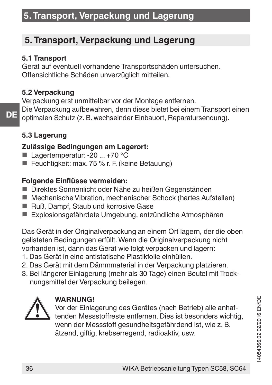### **5. Transport, Verpackung und Lagerung**

### **5. Transport, Verpackung und Lagerung**

### **5.1 Transport**

Gerät auf eventuell vorhandene Transportschäden untersuchen. Offensichtliche Schäden unverzüglich mitteilen.

### **5.2 Verpackung**

Verpackung erst unmittelbar vor der Montage entfernen. Die Verpackung aufbewahren, denn diese bietet bei einem Transport einen optimalen Schutz (z. B. wechselnder Einbauort, Reparatursendung).

### **5.3 Lagerung**

**DE**

### **Zulässige Bedingungen am Lagerort:**

- Lagertemperatur: -20 ... +70 °C
- Feuchtigkeit: max. 75 % r. F. (keine Betauung)

### **Folgende Einflüsse vermeiden:**

- Direktes Sonnenlicht oder Nähe zu heißen Gegenständen
- Mechanische Vibration, mechanischer Schock (hartes Aufstellen)
- Ruß, Dampf, Staub und korrosive Gase
- Explosionsgefährdete Umgebung, entzündliche Atmosphären

Das Gerät in der Originalverpackung an einem Ort lagern, der die oben gelisteten Bedingungen erfüllt. Wenn die Originalverpackung nicht vorhanden ist, dann das Gerät wie folgt verpacken und lagern:

- 1. Das Gerät in eine antistatische Plastikfolie einhüllen.
- 2. Das Gerät mit dem Dämmmaterial in der Verpackung platzieren.
- 3. Bei längerer Einlagerung (mehr als 30 Tage) einen Beutel mit Trocknungsmittel der Verpackung beilegen.



### **WARNUNG!**

Vor der Einlagerung des Gerätes (nach Betrieb) alle anhaftenden Messstoffreste entfernen. Dies ist besonders wichtig, wenn der Messstoff gesundheitsgefährdend ist, wie z. B. ätzend, giftig, krebserregend, radioaktiv, usw.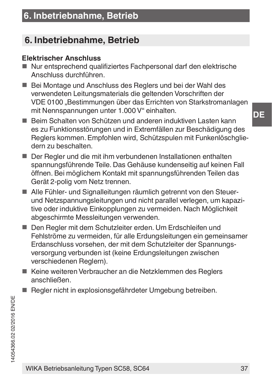### **6. Inbetriebnahme, Betrieb**

### **Elektrischer Anschluss**

- Nur entsprechend qualifiziertes Fachpersonal darf den elektrische Anschluss durchführen.
- Bei Montage und Anschluss des Reglers und bei der Wahl des verwendeten Leitungsmaterials die geltenden Vorschriften der VDE 0100 "Bestimmungen über das Errichten von Starkstromanlagen mit Nennspannungen unter 1.000 V" einhalten.
- Beim Schalten von Schützen und anderen induktiven Lasten kann es zu Funktionsstörungen und in Extremfällen zur Beschädigung des Reglers kommen. Empfohlen wird, Schützspulen mit Funkenlöschgliedern zu beschalten.
- Der Regler und die mit ihm verbundenen Installationen enthalten spannungsführende Teile. Das Gehäuse kundenseitig auf keinen Fall öffnen. Bei möglichem Kontakt mit spannungsführenden Teilen das Gerät 2-polig vom Netz trennen.
- Alle Fühler- und Signalleitungen räumlich getrennt von den Steuerund Netzspannungsleitungen und nicht parallel verlegen, um kapazitive oder induktive Einkopplungen zu vermeiden. Nach Möglichkeit abgeschirmte Messleitungen verwenden.
- Den Regler mit dem Schutzleiter erden. Um Erdschleifen und Fehlströme zu vermeiden, für alle Erdungsleitungen ein gemeinsamer Erdanschluss vorsehen, der mit dem Schutzleiter der Spannungsversorgung verbunden ist (keine Erdungsleitungen zwischen verschiedenen Reglern).
- Keine weiteren Verbraucher an die Netzklemmen des Reglers anschließen.
- Regler nicht in explosionsgefährdeter Umgebung betreiben.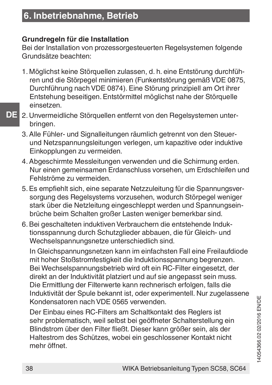### **Grundregeln für die Installation**

Bei der Installation von prozessorgesteuerten Regelsystemen folgende Grundsätze beachten:

- 1. Möglichst keine Störquellen zulassen, d. h. eine Entstörung durchführen und die Störpegel minimieren (Funkentstörung gemäß VDE 0875, Durchführung nach VDE 0874). Eine Störung prinzipiell am Ort ihrer Entstehung beseitigen. Entstörmittel möglichst nahe der Störquelle einsetzen.
- **DE**
- 2. Unvermeidliche Störquellen entfernt von den Regelsystemen unterbringen.
- 3. Alle Fühler- und Signalleitungen räumlich getrennt von den Steuerund Netzspannungsleitungen verlegen, um kapazitive oder induktive Einkopplungen zu vermeiden.
- 4. Abgeschirmte Messleitungen verwenden und die Schirmung erden. Nur einen gemeinsamen Erdanschluss vorsehen, um Erdschleifen und Fehlströme zu vermeiden.
- 5. Es empfiehlt sich, eine separate Netzzuleitung für die Spannungsversorgung des Regelsystems vorzusehen, wodurch Störpegel weniger stark über die Netzleitung eingeschleppt werden und Spannungseinbrüche beim Schalten großer Lasten weniger bemerkbar sind.
- 6. Bei geschalteten induktiven Verbrauchern die entstehende Induktionsspannung durch Schutzglieder abbauen, die für Gleich- und Wechselspannungsnetze unterschiedlich sind.

In Gleichspannungsnetzen kann im einfachsten Fall eine Freilaufdiode mit hoher Stoßstromfestigkeit die Induktionsspannung begrenzen. Bei Wechselspannungsbetrieb wird oft ein RC-Filter eingesetzt, der direkt an der Induktivität platziert und auf sie angepasst sein muss. Die Ermittlung der Filterwerte kann rechnerisch erfolgen, falls die Induktivität der Spule bekannt ist, oder experimentell. Nur zugelassene Kondensatoren nach VDE 0565 verwenden.

Der Einbau eines RC-Filters am Schaltkontakt des Reglers ist sehr problematisch, weil selbst bei geöffneter Schalterstellung ein Blindstrom über den Filter fließt. Dieser kann größer sein, als der Haltestrom des Schützes, wobei ein geschlossener Kontakt nicht mehr öffnet.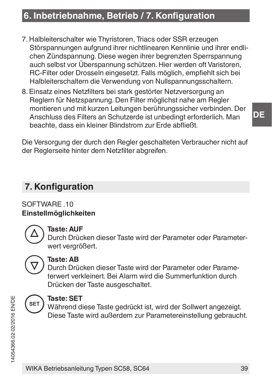### **6. Inbetriebnahme, Betrieb / 7. Konfiguration**

- 7. Halbleiterschalter wie Thyristoren, Triacs oder SSR erzeugen Störspannungen aufgrund ihrer nichtlinearen Kennlinie und ihrer endlichen Zündspannung. Diese wegen ihrer begrenzten Sperrspannung auch selbst vor Überspannung schützen. Hier werden oft Varistoren, RC-Filter oder Drosseln eingesetzt. Falls möglich, empfiehlt sich bei Halbleiterschaltern die Verwendung von Nullspannungsschaltern.
- 8. Einsatz eines Netzfilters bei stark gestörter Netzversorgung an Reglern für Netzspannung. Den Filter möglichst nahe am Regler montieren und mit kurzen Leitungen berührungssicher verbinden. Der Anschluss des Filters an Schutzerde ist unbedingt erforderlich. Man beachte, dass ein kleiner Blindstrom zur Erde abfließt.

Die Versorgung der durch den Regler geschalteten Verbraucher nicht auf der Reglerseite hinter dem Netzfilter abgreifen.

### **7. Konfiguration**

SOFTWARE 10 **Einstellmöglichkeiten**



### **Taste: AUF**

Durch Drücken dieser Taste wird der Parameter oder Parameterwert vergrößert.



### **Taste: AB**

Durch Drücken dieser Taste wird der Parameter oder Parameterwert verkleinert. Bei Alarm wird die Summerfunktion durch Drücken der Taste ausgeschaltet.



### **Taste: SET**

Während diese Taste gedrückt ist, wird der Sollwert angezeigt. Diese Taste wird außerdem zur Parametereinstellung gebraucht.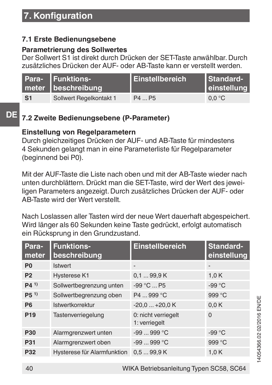### **7.1 Erste Bedienungsebene**

### **Parametrierung des Sollwertes**

Der Sollwert S1 ist direkt durch Drücken der SET-Taste anwählbar. Durch zusätzliches Drücken der AUF- oder AB-Taste kann er verstellt werden.

|                | Para- Funktions-<br>meter beschreibung | <b>Einstellbereich</b> | Standard-<br>einstellung |
|----------------|----------------------------------------|------------------------|--------------------------|
| S <sub>1</sub> | Sollwert Regelkontakt 1                | P4  P5                 | 0.0 °C                   |

### **DE**

### **7.2 Zweite Bedienungsebene (P-Parameter)**

### **Einstellung von Regelparametern**

Durch gleichzeitiges Drücken der AUF- und AB-Taste für mindestens 4 Sekunden gelangt man in eine Parameterliste für Regelparameter (beginnend bei P0).

Mit der AUF-Taste die Liste nach oben und mit der AB-Taste wieder nach unten durchblättern. Drückt man die SET-Taste, wird der Wert des jeweiligen Parameters angezeigt. Durch zusätzliches Drücken der AUF- oder AB-Taste wird der Wert verstellt.

Nach Loslassen aller Tasten wird der neue Wert dauerhaft abgespeichert. Wird länger als 60 Sekunden keine Taste gedrückt, erfolgt automatisch ein Rücksprung in den Grundzustand.

| Para-<br>meter  | <b>Funktions-</b><br>beschreibung | Einstellbereich                      | Standard-<br>einstellung |
|-----------------|-----------------------------------|--------------------------------------|--------------------------|
| P <sub>0</sub>  | <b>Istwert</b>                    | ۰                                    | $\overline{\phantom{a}}$ |
| P <sub>2</sub>  | Hysterese K1                      | 0.199.9K                             | 1.0K                     |
| P(41)           | Sollwertbegrenzung unten          | $-99^{\circ}$ C $\ldots$ P5          | $-99 °C$                 |
| P5 <sup>1</sup> | Sollwertbegrenzung oben           | P4  999 °C                           | 999 °C                   |
| P <sub>6</sub>  | Istwertkorrektur                  | $-20.0+20.0K$                        | 0.0K                     |
| P <sub>19</sub> | Tastenverriegelung                | 0: nicht verriegelt<br>1: verriegelt | $\Omega$                 |
| P30             | Alarmgrenzwert unten              | $-99999$ °C                          | $-99^{\circ}$ C          |
| P31             | Alarmgrenzwert oben               | $-99999$ °C                          | 999 °C                   |
| P32             | Hysterese für Alarmfunktion       | 0.599.9K                             | 1.0K                     |

# 14054366.02 02/2016 EN/DE 4054366.0202/2016 EN/DE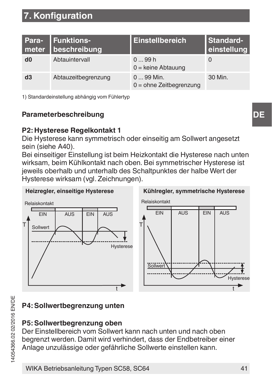| Para-<br>meter | <b>Funktions-</b><br>beschreibung | Einstellbereich                         | Standard-<br>einstellung |
|----------------|-----------------------------------|-----------------------------------------|--------------------------|
| d0             | Abtauintervall                    | 099h<br>$0 =$ keine Abtauung            | $\Omega$                 |
| d3             | Abtauzeitbegrenzung               | $099$ Min.<br>$0 =$ ohne Zeitbegrenzung | 30 Min.                  |

1) Standardeinstellung abhängig vom Fühlertyp

### **Parameterbeschreibung**

### **P2: Hysterese Regelkontakt 1**

Die Hysterese kann symmetrisch oder einseitig am Sollwert angesetzt sein (siehe A40).

Bei einseitiger Einstellung ist beim Heizkontakt die Hysterese nach unten wirksam, beim Kühlkontakt nach oben. Bei symmetrischer Hysterese ist jeweils oberhalb und unterhalb des Schaltpunktes der halbe Wert der Hysterese wirksam (vgl. Zeichnungen).



### **P4: Sollwertbegrenzung unten**

#### **P5: Sollwertbegrenzung oben**

Der Einstellbereich vom Sollwert kann nach unten und nach oben begrenzt werden. Damit wird verhindert, dass der Endbetreiber einer Anlage unzulässige oder gefährliche Sollwerte einstellen kann.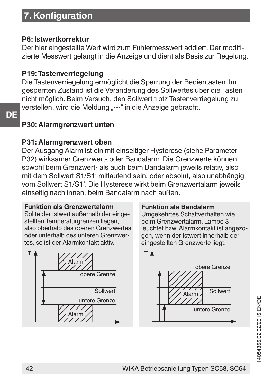#### **P6: Istwertkorrektur**

Der hier eingestellte Wert wird zum Fühlermesswert addiert. Der modifizierte Messwert gelangt in die Anzeige und dient als Basis zur Begelung.

### **P19: Tastenverriegelung**

Die Tastenverriegelung ermöglicht die Sperrung der Bedientasten. Im gesperrten Zustand ist die Veränderung des Sollwertes über die Tasten nicht möglich. Beim Versuch, den Sollwert trotz Tastenverriegelung zu verstellen, wird die Meldung .--- " in die Anzeige gebracht.

#### **P30: Alarmgrenzwert unten**

**DE**

### **P31: Alarmgrenzwert oben**

Der Ausgang Alarm ist ein mit einseitiger Hysterese (siehe Parameter P32) wirksamer Grenzwert- oder Bandalarm. Die Grenzwerte können sowohl beim Grenzwert- als auch beim Bandalarm jeweils relativ, also mit dem Sollwert S1/S1' mitlaufend sein, oder absolut, also unabhängig vom Sollwert S1/S1'. Die Hysterese wirkt beim Grenzwertalarm jeweils einseitig nach innen, beim Bandalarm nach außen.

#### **Funktion als Grenzwertalarm**

Sollte der Istwert außerhalb der eingestellten Temperaturgrenzen liegen also oberhalb des oberen Grenzwertes oder unterhalb des unteren Grenzwertes, so ist der Alarmkontakt aktiv.



#### **Funktion als Bandalarm**

Umgekehrtes Schaltverhalten wie beim Grenzwertalarm. Lampe 3 leuchtet bzw. Alarmkontakt ist angezogen, wenn der Istwert innerhalb der eingestellten Grenzwerte liegt.

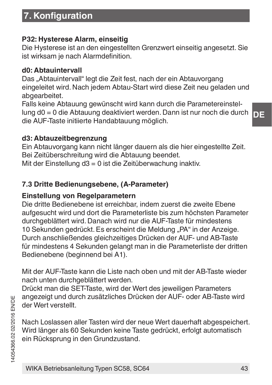### **P32: Hysterese Alarm, einseitig**

Die Hysterese ist an den eingestellten Grenzwert einseitig angesetzt. Sie ist wirksam je nach Alarmdefinition.

#### **d0: Abtauintervall**

Das "Abtauintervall" legt die Zeit fest, nach der ein Abtauvorgang eingeleitet wird. Nach jedem Abtau-Start wird diese Zeit neu geladen und abgearbeitet.

Falls keine Abtauung gewünscht wird kann durch die Parametereinstellung d0 = 0 die Abtauung deaktiviert werden. Dann ist nur noch die durch die AUF-Taste initiierte Handabtauung möglich.

### **d3: Abtauzeitbegrenzung**

Ein Abtauvorgang kann nicht länger dauern als die hier eingestellte Zeit. Bei Zeitüberschreitung wird die Abtauung beendet.

Mit der Einstellung d $3 = 0$  ist die Zeitüberwachung inaktiv.

### **7.3 Dritte Bedienungsebene, (A-Parameter)**

#### **Einstellung von Regelparametern**

Die dritte Bedienebene ist erreichbar, indem zuerst die zweite Ebene aufgesucht wird und dort die Parameterliste bis zum höchsten Parameter durchgeblättert wird. Danach wird nur die AUF-Taste für mindestens 10 Sekunden gedrückt. Es erscheint die Meldung "PA" in der Anzeige. Durch anschließendes gleichzeitiges Drücken der AUF- und AB-Taste für mindestens 4 Sekunden gelangt man in die Parameterliste der dritten Bedienebene (beginnend bei A1).

Mit der AUF-Taste kann die Liste nach oben und mit der AB-Taste wieder nach unten durchgeblättert werden.

Drückt man die SET-Taste, wird der Wert des jeweiligen Parameters angezeigt und durch zusätzliches Drücken der AUF- oder AB-Taste wird der Wert verstellt.

Nach Loslassen aller Tasten wird der neue Wert dauerhaft abgespeichert. Wird länger als 60 Sekunden keine Taste gedrückt, erfolgt automatisch ein Rücksprung in den Grundzustand.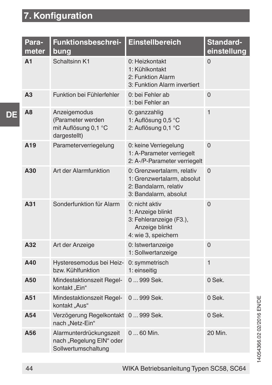**DE**

| Para-<br>meter  | Funktionsbeschrei-<br>buna                                                 | <b>Einstellbereich</b>                                                                                     | Standard-<br>einstellung |
|-----------------|----------------------------------------------------------------------------|------------------------------------------------------------------------------------------------------------|--------------------------|
| A1              | Schaltsinn K1                                                              | 0: Heizkontakt<br>1: Kühlkontakt<br>2: Funktion Alarm<br>3: Funktion Alarm invertiert                      | $\Omega$                 |
| A <sub>3</sub>  | Funktion bei Fühlerfehler                                                  | 0: bei Fehler ab<br>1: bei Fehler an                                                                       | 0                        |
| A <sub>8</sub>  | Anzeigemodus<br>(Parameter werden<br>mit Auflösung 0,1 °C<br>dargestellt)  | 0: ganzzahlig<br>1: Auflösung 0.5 °C<br>2: Auflösung 0,1 °C                                                | $\mathbf{1}$             |
| A <sub>19</sub> | Parameterverriegelung                                                      | 0: keine Verriegelung<br>1: A-Parameter verriegelt<br>2: A-/P-Parameter verriegelt                         | $\Omega$                 |
| A30             | Art der Alarmfunktion                                                      | 0: Grenzwertalarm, relativ<br>1: Grenzwertalarm, absolut<br>2: Bandalarm, relativ<br>3: Bandalarm, absolut | $\Omega$                 |
| A31             | Sonderfunktion für Alarm                                                   | 0: nicht aktiv<br>1: Anzeige blinkt<br>3: Fehleranzeige (F3.),<br>Anzeige blinkt<br>4: wie 3, speichern    | $\Omega$                 |
| A32             | Art der Anzeige                                                            | 0: Istwertanzeige<br>1: Sollwertanzeige                                                                    | $\Omega$                 |
| A40             | Hysteresemodus bei Heiz-<br>bzw. Kühlfunktion                              | 0: symmetrisch<br>1: einseitig                                                                             | $\mathbf{1}$             |
| A50             | Mindestaktionszeit Regel-<br>kontakt "Ein"                                 | 0999 Sek.                                                                                                  | $0$ Sek.                 |
| A51             | Mindestaktionszeit Regel-<br>kontakt "Aus"                                 | 0999 Sek.                                                                                                  | $0$ Sek.                 |
| A54             | Verzögerung Regelkontakt 0 999 Sek.<br>nach "Netz-Ein"                     |                                                                                                            | $0$ Sek.                 |
| A56             | Alarmunterdrückungszeit<br>nach "Regelung EIN" oder<br>Sollwertumschaltung | 0  60 Min.                                                                                                 | 20 Min.                  |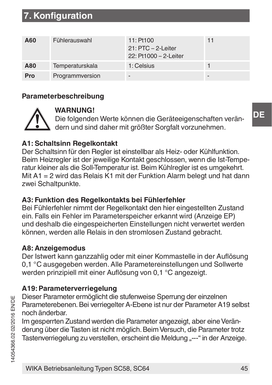| A60 | Fühlerauswahl   | 11: Pt100<br>21: PTC - 2-Leiter<br>22: Pt1000 - 2-Leiter | 11 |
|-----|-----------------|----------------------------------------------------------|----|
| A80 | Temperaturskala | 1: Celsius                                               |    |
| Pro | Programmversion |                                                          | ۰  |

#### **Parameterbeschreibung**



### **WARNUNG!**

Die folgenden Werte können die Geräteeigenschaften verändern und sind daher mit größter Sorgfalt vorzunehmen.

### **A1: Schaltsinn Regelkontakt**

Der Schaltsinn für den Regler ist einstellbar als Heiz- oder Kühlfunktion. Beim Heizregler ist der jeweilige Kontakt geschlossen, wenn die Ist-Temperatur kleiner als die Soll-Temperatur ist. Beim Kühlregler ist es umgekehrt. Mit A1 = 2 wird das Relais K1 mit der Funktion Alarm belegt und hat dann zwei Schaltpunkte.

#### **A3: Funktion des Regelkontakts bei Fühlerfehler**

Bei Fühlerfehler nimmt der Regelkontakt den hier eingestellten Zustand ein. Falls ein Fehler im Parameterspeicher erkannt wird (Anzeige EP) und deshalb die eingespeicherten Einstellungen nicht verwertet werden können, werden alle Relais in den stromlosen Zustand gebracht.

#### **A8: Anzeigemodus**

Der Istwert kann ganzzahlig oder mit einer Kommastelle in der Auflösung 0,1 °C ausgegeben werden. Alle Parametereinstellungen und Sollwerte werden prinzipiell mit einer Auflösung von 0,1 °C angezeigt.

#### **A19: Parameterverriegelung**

Dieser Parameter ermöglicht die stufenweise Sperrung der einzelnen Parameterebenen. Bei verriegelter A-Ebene ist nur der Parameter A19 selbst noch änderbar.

Im gesperrten Zustand werden die Parameter angezeigt, aber eine Veränderung über die Tasten ist nicht möglich. Beim Versuch, die Parameter trotz Tastenverriegelung zu verstellen, erscheint die Meldung .--- " in der Anzeige.

**DE**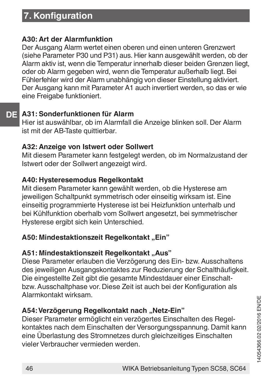### **A30: Art der Alarmfunktion**

Der Ausgang Alarm wertet einen oberen und einen unteren Grenzwert (siehe Parameter P30 und P31) aus. Hier kann ausgewählt werden, ob der Alarm aktiv ist, wenn die Temperatur innerhalb dieser beiden Grenzen liegt, oder ob Alarm gegeben wird, wenn die Temperatur außerhalb liegt. Bei Fühlerfehler wird der Alarm unabhängig von dieser Einstellung aktiviert. Der Ausgang kann mit Parameter A1 auch invertiert werden, so das er wie eine Freigabe funktioniert.

#### **DE A31: Sonderfunktionen für Alarm**

Hier ist auswählbar, ob im Alarmfall die Anzeige blinken soll. Der Alarm ist mit der AB-Taste quittierbar.

### **A32: Anzeige von Istwert oder Sollwert**

Mit diesem Parameter kann festgelegt werden, ob im Normalzustand der Istwert oder der Sollwert angezeigt wird.

### **A40: Hysteresemodus Regelkontakt**

Mit diesem Parameter kann gewählt werden, ob die Hysterese am jeweiligen Schaltpunkt symmetrisch oder einseitig wirksam ist. Eine einseitig programmierte Hysterese ist bei Heizfunktion unterhalb und bei Kühlfunktion oberhalb vom Sollwert angesetzt, bei symmetrischer Hysterese ergibt sich kein Unterschied.

### **A50: Mindestaktionszeit Regelkontakt Fin**"

### **A51: Mindestaktionszeit Regelkontakt "Aus"**

Diese Parameter erlauben die Verzögerung des Ein- bzw. Ausschaltens des jeweiligen Ausgangskontaktes zur Reduzierung der Schalthäufigkeit. Die eingestellte Zeit gibt die gesamte Mindestdauer einer Einschaltbzw. Ausschaltphase vor. Diese Zeit ist auch bei der Konfiguration als Alarmkontakt wirksam.

### **A54: Verzögerung Regelkontakt nach "Netz-Ein"**

Dieser Parameter ermöglicht ein verzögertes Einschalten des Regelkontaktes nach dem Einschalten der Versorgungsspannung. Damit kann eine Überlastung des Stromnetzes durch gleichzeitiges Einschalten vieler Verbraucher vermieden werden.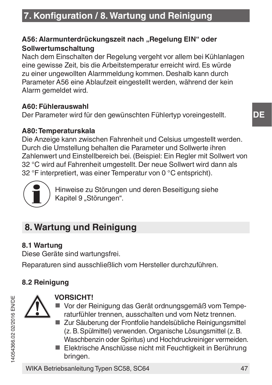### A56: Alarmunterdrückungszeit nach "Regelung EIN" oder **Sollwertumschaltung**

Nach dem Einschalten der Regelung vergeht vor allem bei Kühlanlagen eine gewisse Zeit, bis die Arbeitstemperatur erreicht wird. Es würde zu einer ungewollten Alarmmeldung kommen. Deshalb kann durch Parameter A56 eine Ablaufzeit eingestellt werden, während der kein Alarm gemeldet wird.

### **A60: Fühlerauswahl**

Der Parameter wird für den gewünschten Fühlertyp voreingestellt.

### **A80: Temperaturskala**

Die Anzeige kann zwischen Fahrenheit und Celsius umgestellt werden. Durch die Umstellung behalten die Parameter und Sollwerte ihren Zahlenwert und Einstellbereich bei. (Beispiel: Ein Regler mit Sollwert von 32 °C wird auf Fahrenheit umgestellt. Der neue Sollwert wird dann als 32 °F interpretiert, was einer Temperatur von 0 °C entspricht).



Hinweise zu Störungen und deren Beseitigung siehe Kapitel 9 "Störungen".

### **8. Wartung und Reinigung**

### **8.1 Wartung**

Diese Geräte sind wartungsfrei.

Reparaturen sind ausschließlich vom Hersteller durchzuführen.

### **8.2 Reinigung**



### **VORSICHT!**

- Vor der Reinigung das Gerät ordnungsgemäß vom Temperaturfühler trennen, ausschalten und vom Netz trennen.
- Zur Säuberung der Frontfolie handelsübliche Reinigungsmittel (z. B. Spülmittel) verwenden. Organische Lösungsmittel (z. B. Waschbenzin oder Spiritus) und Hochdruckreiniger vermeiden.
- Elektrische Anschlüsse nicht mit Feuchtigkeit in Berührung bringen.

WIKA Betriebsanleitung Typen SC58, SC64 47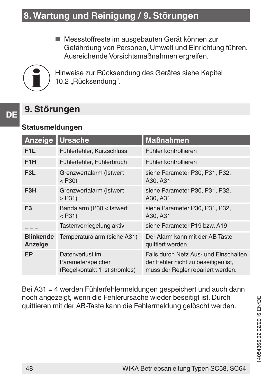■ Messstoffreste im ausgebauten Gerät können zur Gefährdung von Personen, Umwelt und Einrichtung führen. Ausreichende Vorsichtsmaßnahmen ergreifen.



Hinweise zur Rücksendung des Gerätes siehe Kapitel 10.2 "Rücksendung".

**DE**

### **9. Störungen**

### **Statusmeldungen**

| Anzeige                     | <b>Ursache</b>                                                        | <b>Maßnahmen</b>                                                                                                  |
|-----------------------------|-----------------------------------------------------------------------|-------------------------------------------------------------------------------------------------------------------|
| F <sub>1</sub> L            | Fühlerfehler, Kurzschluss                                             | Fühler kontrollieren                                                                                              |
| F <sub>1</sub> H            | Fühlerfehler, Fühlerbruch                                             | Fühler kontrollieren                                                                                              |
| F <sub>3</sub> L            | Grenzwertalarm (Istwert<br>$<$ P30)                                   | siehe Parameter P30, P31, P32.<br>A30, A31                                                                        |
| F3H                         | Grenzwertalarm (Istwert<br>$>$ P31)                                   | siehe Parameter P30, P31, P32.<br>A30, A31                                                                        |
| F <sub>3</sub>              | Bandalarm (P30 < Istwert<br>$<$ P31)                                  | siehe Parameter P30, P31, P32.<br>A30, A31                                                                        |
|                             | Tastenverriegelung aktiv                                              | siehe Parameter P19 bzw. A19                                                                                      |
| <b>Blinkende</b><br>Anzeige | Temperaturalarm (siehe A31)                                           | Der Alarm kann mit der AB-Taste<br>quittiert werden.                                                              |
| EP                          | Datenverlust im<br>Parameterspeicher<br>(Regelkontakt 1 ist stromlos) | Falls durch Netz Aus- und Einschalten<br>der Fehler nicht zu beseitigen ist,<br>muss der Regler repariert werden. |

Bei A31 = 4 werden Fühlerfehlermeldungen gespeichert und auch dann noch angezeigt, wenn die Fehlerursache wieder beseitigt ist. Durch quittieren mit der AB-Taste kann die Fehlermeldung gelöscht werden.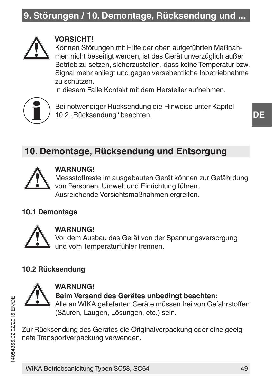### **9. Störungen / 10. Demontage, Rücksendung und ...**



### **VORSICHT!**

Können Störungen mit Hilfe der oben aufgeführten Maßnahmen nicht beseitigt werden, ist das Gerät unverzüglich außer Betrieb zu setzen, sicherzustellen, dass keine Temperatur bzw. Signal mehr anliegt und gegen versehentliche Inbetriebnahme zu schützen.

In diesem Falle Kontakt mit dem Hersteller aufnehmen.



Bei notwendiger Rücksendung die Hinweise unter Kapitel 10.2 Rücksendung" beachten.

### **10. Demontage, Rücksendung und Entsorgung**



### **WARNUNG!**

Messstoffreste im ausgebauten Gerät können zur Gefährdung von Personen, Umwelt und Einrichtung führen. Ausreichende Vorsichtsmaßnahmen ergreifen.

#### **10.1 Demontage**



#### **WARNUNG!**

Vor dem Ausbau das Gerät von der Spannungsversorgung und vom Temperaturfühler trennen.

### **10.2 Rücksendung**



**WARNUNG! Beim Versand des Gerätes unbedingt beachten:** Alle an WIKA gelieferten Geräte müssen frei von Gefahrstoffen (Säuren, Laugen, Lösungen, etc.) sein.

Zur Rücksendung des Gerätes die Originalverpackung oder eine geeignete Transportverpackung verwenden.

**DE**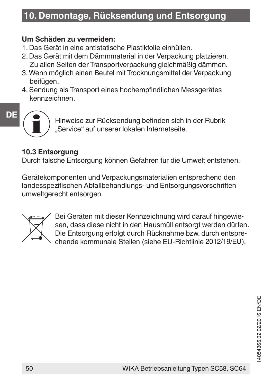### **10. Demontage, Rücksendung und Entsorgung**

#### **Um Schäden zu vermeiden:**

- 1. Das Gerät in eine antistatische Plastikfolie einhüllen.
- 2. Das Gerät mit dem Dämmmaterial in der Verpackung platzieren. Zu allen Seiten der Transportverpackung gleichmäßig dämmen.
- 3. Wenn möglich einen Beutel mit Trocknungsmittel der Verpackung beifügen.
- 4. Sendung als Transport eines hochempfindlichen Messgerätes kennzeichnen.

### **DE**

Hinweise zur Rücksendung befinden sich in der Rubrik "Service" auf unserer lokalen Internetseite.

### **10.3 Entsorgung**

Durch falsche Entsorgung können Gefahren für die Umwelt entstehen.

Gerätekomponenten und Verpackungsmaterialien entsprechend den landesspezifischen Abfallbehandlungs- und Entsorgungsvorschriften umweltgerecht entsorgen.



Bei Geräten mit dieser Kennzeichnung wird darauf hingewiesen, dass diese nicht in den Hausmüll entsorgt werden dürfen. Die Entsorgung erfolgt durch Rücknahme bzw. durch entsprechende kommunale Stellen (siehe EU-Richtlinie 2012/19/EU).